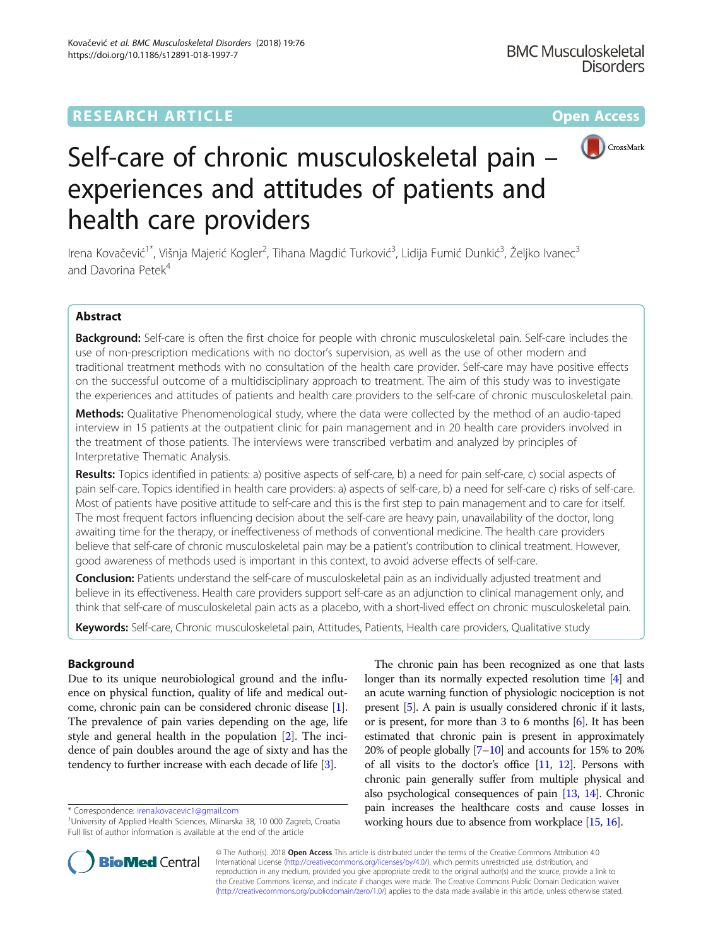

# Self-care of chronic musculoskeletal pain – experiences and attitudes of patients and health care providers

Irena Kovačević<sup>1\*</sup>, Višnja Majerić Kogler<sup>2</sup>, Tihana Magdić Turković<sup>3</sup>, Lidija Fumić Dunkić<sup>3</sup>, Željko Ivanec<sup>3</sup> and Davorina Petek<sup>4</sup>

## Abstract

Background: Self-care is often the first choice for people with chronic musculoskeletal pain. Self-care includes the use of non-prescription medications with no doctor's supervision, as well as the use of other modern and traditional treatment methods with no consultation of the health care provider. Self-care may have positive effects on the successful outcome of a multidisciplinary approach to treatment. The aim of this study was to investigate the experiences and attitudes of patients and health care providers to the self-care of chronic musculoskeletal pain.

Methods: Qualitative Phenomenological study, where the data were collected by the method of an audio-taped interview in 15 patients at the outpatient clinic for pain management and in 20 health care providers involved in the treatment of those patients. The interviews were transcribed verbatim and analyzed by principles of Interpretative Thematic Analysis.

Results: Topics identified in patients: a) positive aspects of self-care, b) a need for pain self-care, c) social aspects of pain self-care. Topics identified in health care providers: a) aspects of self-care, b) a need for self-care c) risks of self-care. Most of patients have positive attitude to self-care and this is the first step to pain management and to care for itself. The most frequent factors influencing decision about the self-care are heavy pain, unavailability of the doctor, long awaiting time for the therapy, or ineffectiveness of methods of conventional medicine. The health care providers believe that self-care of chronic musculoskeletal pain may be a patient's contribution to clinical treatment. However, good awareness of methods used is important in this context, to avoid adverse effects of self-care.

**Conclusion:** Patients understand the self-care of musculoskeletal pain as an individually adjusted treatment and believe in its effectiveness. Health care providers support self-care as an adjunction to clinical management only, and think that self-care of musculoskeletal pain acts as a placebo, with a short-lived effect on chronic musculoskeletal pain.

Keywords: Self-care, Chronic musculoskeletal pain, Attitudes, Patients, Health care providers, Qualitative study

## Background

Due to its unique neurobiological ground and the influence on physical function, quality of life and medical outcome, chronic pain can be considered chronic disease [[1](#page-8-0)]. The prevalence of pain varies depending on the age, life style and general health in the population [\[2](#page-8-0)]. The incidence of pain doubles around the age of sixty and has the tendency to further increase with each decade of life [\[3\]](#page-8-0).

\* Correspondence: [irena.kovacevic1@gmail.com](mailto:irena.kovacevic1@gmail.com) <sup>1</sup>

The chronic pain has been recognized as one that lasts longer than its normally expected resolution time [\[4](#page-8-0)] and an acute warning function of physiologic nociception is not present [\[5\]](#page-8-0). A pain is usually considered chronic if it lasts, or is present, for more than 3 to 6 months [\[6](#page-8-0)]. It has been estimated that chronic pain is present in approximately 20% of people globally [\[7](#page-8-0)–[10](#page-8-0)] and accounts for 15% to 20% of all visits to the doctor's office [\[11,](#page-8-0) [12\]](#page-8-0). Persons with chronic pain generally suffer from multiple physical and also psychological consequences of pain [[13](#page-8-0), [14\]](#page-8-0). Chronic pain increases the healthcare costs and cause losses in working hours due to absence from workplace [\[15,](#page-8-0) [16\]](#page-8-0).



© The Author(s). 2018 Open Access This article is distributed under the terms of the Creative Commons Attribution 4.0 International License [\(http://creativecommons.org/licenses/by/4.0/](http://creativecommons.org/licenses/by/4.0/)), which permits unrestricted use, distribution, and reproduction in any medium, provided you give appropriate credit to the original author(s) and the source, provide a link to the Creative Commons license, and indicate if changes were made. The Creative Commons Public Domain Dedication waiver [\(http://creativecommons.org/publicdomain/zero/1.0/](http://creativecommons.org/publicdomain/zero/1.0/)) applies to the data made available in this article, unless otherwise stated.

<sup>&</sup>lt;sup>1</sup>University of Applied Health Sciences, Mlinarska 38, 10 000 Zagreb, Croatia Full list of author information is available at the end of the article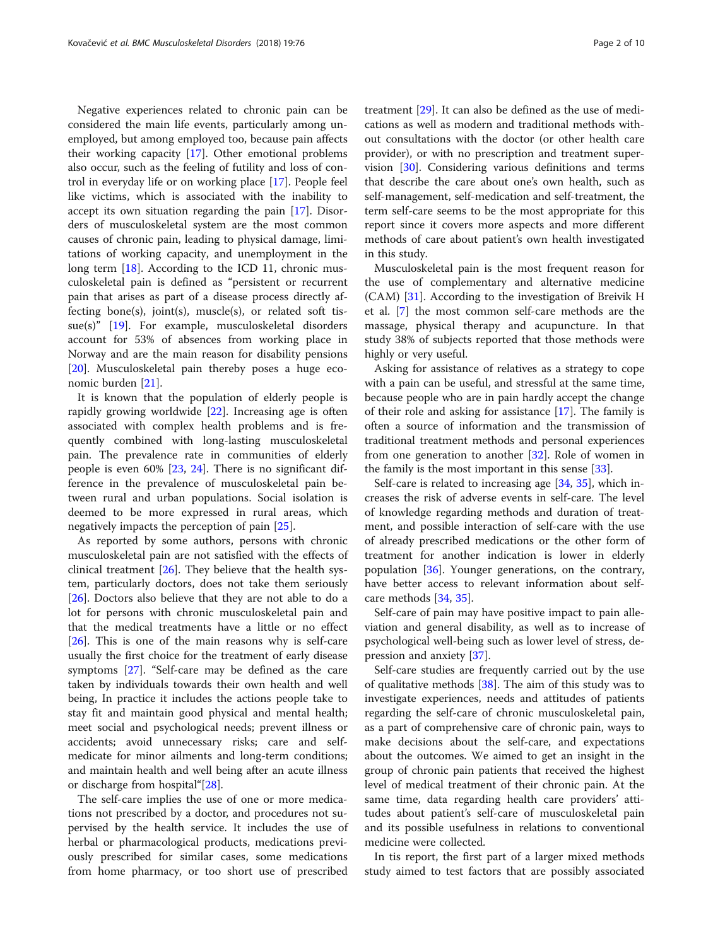Negative experiences related to chronic pain can be considered the main life events, particularly among unemployed, but among employed too, because pain affects their working capacity [[17](#page-8-0)]. Other emotional problems also occur, such as the feeling of futility and loss of control in everyday life or on working place [[17\]](#page-8-0). People feel like victims, which is associated with the inability to accept its own situation regarding the pain [[17\]](#page-8-0). Disorders of musculoskeletal system are the most common causes of chronic pain, leading to physical damage, limitations of working capacity, and unemployment in the long term [[18](#page-8-0)]. According to the ICD 11, chronic musculoskeletal pain is defined as "persistent or recurrent pain that arises as part of a disease process directly affecting bone(s), joint(s), muscle(s), or related soft tissue(s)" [\[19](#page-8-0)]. For example, musculoskeletal disorders account for 53% of absences from working place in Norway and are the main reason for disability pensions [[20\]](#page-8-0). Musculoskeletal pain thereby poses a huge economic burden [[21](#page-8-0)].

It is known that the population of elderly people is rapidly growing worldwide [[22\]](#page-8-0). Increasing age is often associated with complex health problems and is frequently combined with long-lasting musculoskeletal pain. The prevalence rate in communities of elderly people is even 60% [[23](#page-8-0), [24](#page-8-0)]. There is no significant difference in the prevalence of musculoskeletal pain between rural and urban populations. Social isolation is deemed to be more expressed in rural areas, which negatively impacts the perception of pain [[25\]](#page-8-0).

As reported by some authors, persons with chronic musculoskeletal pain are not satisfied with the effects of clinical treatment [[26\]](#page-8-0). They believe that the health system, particularly doctors, does not take them seriously [[26\]](#page-8-0). Doctors also believe that they are not able to do a lot for persons with chronic musculoskeletal pain and that the medical treatments have a little or no effect [[26\]](#page-8-0). This is one of the main reasons why is self-care usually the first choice for the treatment of early disease symptoms [[27\]](#page-8-0). "Self-care may be defined as the care taken by individuals towards their own health and well being, In practice it includes the actions people take to stay fit and maintain good physical and mental health; meet social and psychological needs; prevent illness or accidents; avoid unnecessary risks; care and selfmedicate for minor ailments and long-term conditions; and maintain health and well being after an acute illness or discharge from hospital"[\[28](#page-8-0)].

The self-care implies the use of one or more medications not prescribed by a doctor, and procedures not supervised by the health service. It includes the use of herbal or pharmacological products, medications previously prescribed for similar cases, some medications from home pharmacy, or too short use of prescribed

treatment [[29\]](#page-8-0). It can also be defined as the use of medications as well as modern and traditional methods without consultations with the doctor (or other health care provider), or with no prescription and treatment supervision [\[30\]](#page-8-0). Considering various definitions and terms that describe the care about one's own health, such as self-management, self-medication and self-treatment, the term self-care seems to be the most appropriate for this report since it covers more aspects and more different methods of care about patient's own health investigated in this study.

Musculoskeletal pain is the most frequent reason for the use of complementary and alternative medicine (CAM) [[31\]](#page-8-0). According to the investigation of Breivik H et al. [[7\]](#page-8-0) the most common self-care methods are the massage, physical therapy and acupuncture. In that study 38% of subjects reported that those methods were highly or very useful.

Asking for assistance of relatives as a strategy to cope with a pain can be useful, and stressful at the same time, because people who are in pain hardly accept the change of their role and asking for assistance [\[17](#page-8-0)]. The family is often a source of information and the transmission of traditional treatment methods and personal experiences from one generation to another [\[32](#page-8-0)]. Role of women in the family is the most important in this sense [\[33\]](#page-8-0).

Self-care is related to increasing age [[34](#page-8-0), [35](#page-8-0)], which increases the risk of adverse events in self-care. The level of knowledge regarding methods and duration of treatment, and possible interaction of self-care with the use of already prescribed medications or the other form of treatment for another indication is lower in elderly population [[36](#page-8-0)]. Younger generations, on the contrary, have better access to relevant information about selfcare methods [[34,](#page-8-0) [35\]](#page-8-0).

Self-care of pain may have positive impact to pain alleviation and general disability, as well as to increase of psychological well-being such as lower level of stress, depression and anxiety [[37\]](#page-8-0).

Self-care studies are frequently carried out by the use of qualitative methods [[38](#page-8-0)]. The aim of this study was to investigate experiences, needs and attitudes of patients regarding the self-care of chronic musculoskeletal pain, as a part of comprehensive care of chronic pain, ways to make decisions about the self-care, and expectations about the outcomes. We aimed to get an insight in the group of chronic pain patients that received the highest level of medical treatment of their chronic pain. At the same time, data regarding health care providers' attitudes about patient's self-care of musculoskeletal pain and its possible usefulness in relations to conventional medicine were collected.

In tis report, the first part of a larger mixed methods study aimed to test factors that are possibly associated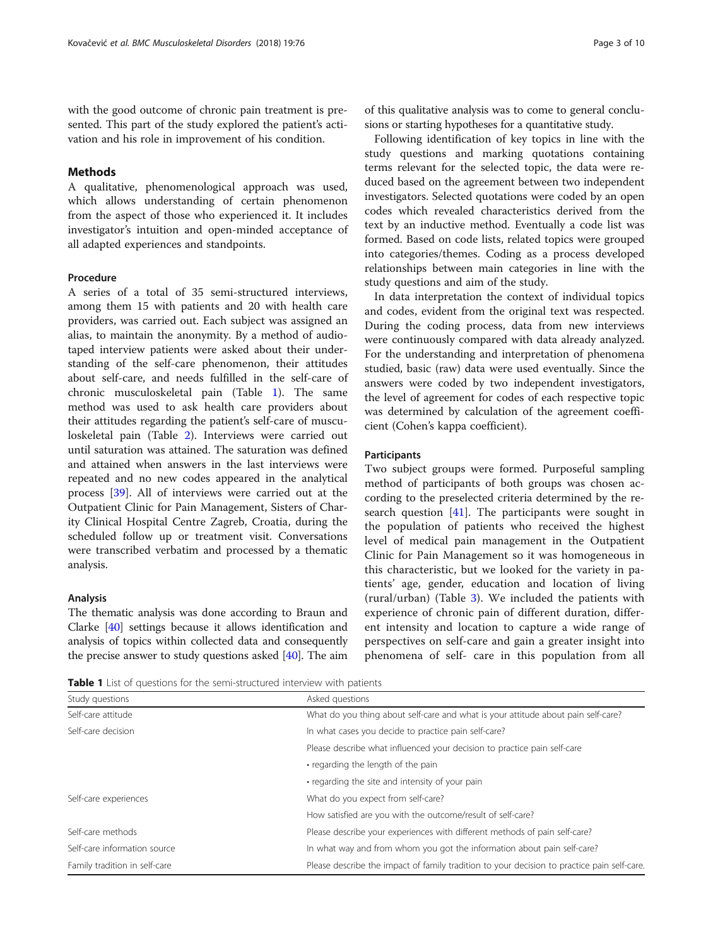<span id="page-2-0"></span>with the good outcome of chronic pain treatment is presented. This part of the study explored the patient's activation and his role in improvement of his condition.

#### Methods

A qualitative, phenomenological approach was used, which allows understanding of certain phenomenon from the aspect of those who experienced it. It includes investigator's intuition and open-minded acceptance of all adapted experiences and standpoints.

#### Procedure

A series of a total of 35 semi-structured interviews, among them 15 with patients and 20 with health care providers, was carried out. Each subject was assigned an alias, to maintain the anonymity. By a method of audiotaped interview patients were asked about their understanding of the self-care phenomenon, their attitudes about self-care, and needs fulfilled in the self-care of chronic musculoskeletal pain (Table 1). The same method was used to ask health care providers about their attitudes regarding the patient's self-care of musculoskeletal pain (Table [2](#page-3-0)). Interviews were carried out until saturation was attained. The saturation was defined and attained when answers in the last interviews were repeated and no new codes appeared in the analytical process [[39\]](#page-8-0). All of interviews were carried out at the Outpatient Clinic for Pain Management, Sisters of Charity Clinical Hospital Centre Zagreb, Croatia, during the scheduled follow up or treatment visit. Conversations were transcribed verbatim and processed by a thematic analysis.

#### Analysis

The thematic analysis was done according to Braun and Clarke [\[40](#page-8-0)] settings because it allows identification and analysis of topics within collected data and consequently the precise answer to study questions asked [\[40\]](#page-8-0). The aim

Following identification of key topics in line with the study questions and marking quotations containing terms relevant for the selected topic, the data were reduced based on the agreement between two independent investigators. Selected quotations were coded by an open codes which revealed characteristics derived from the text by an inductive method. Eventually a code list was formed. Based on code lists, related topics were grouped into categories/themes. Coding as a process developed relationships between main categories in line with the study questions and aim of the study.

In data interpretation the context of individual topics and codes, evident from the original text was respected. During the coding process, data from new interviews were continuously compared with data already analyzed. For the understanding and interpretation of phenomena studied, basic (raw) data were used eventually. Since the answers were coded by two independent investigators, the level of agreement for codes of each respective topic was determined by calculation of the agreement coefficient (Cohen's kappa coefficient).

#### Participants

Two subject groups were formed. Purposeful sampling method of participants of both groups was chosen according to the preselected criteria determined by the research question [\[41](#page-8-0)]. The participants were sought in the population of patients who received the highest level of medical pain management in the Outpatient Clinic for Pain Management so it was homogeneous in this characteristic, but we looked for the variety in patients' age, gender, education and location of living (rural/urban) (Table [3](#page-3-0)). We included the patients with experience of chronic pain of different duration, different intensity and location to capture a wide range of perspectives on self-care and gain a greater insight into phenomena of self- care in this population from all

Table 1 List of questions for the semi-structured interview with patients

| Study questions               | Asked questions                                                                             |
|-------------------------------|---------------------------------------------------------------------------------------------|
| Self-care attitude            | What do you thing about self-care and what is your attitude about pain self-care?           |
| Self-care decision            | In what cases you decide to practice pain self-care?                                        |
|                               | Please describe what influenced your decision to practice pain self-care                    |
|                               | • regarding the length of the pain                                                          |
|                               | • regarding the site and intensity of your pain                                             |
| Self-care experiences         | What do you expect from self-care?                                                          |
|                               | How satisfied are you with the outcome/result of self-care?                                 |
| Self-care methods             | Please describe your experiences with different methods of pain self-care?                  |
| Self-care information source  | In what way and from whom you got the information about pain self-care?                     |
| Family tradition in self-care | Please describe the impact of family tradition to your decision to practice pain self-care. |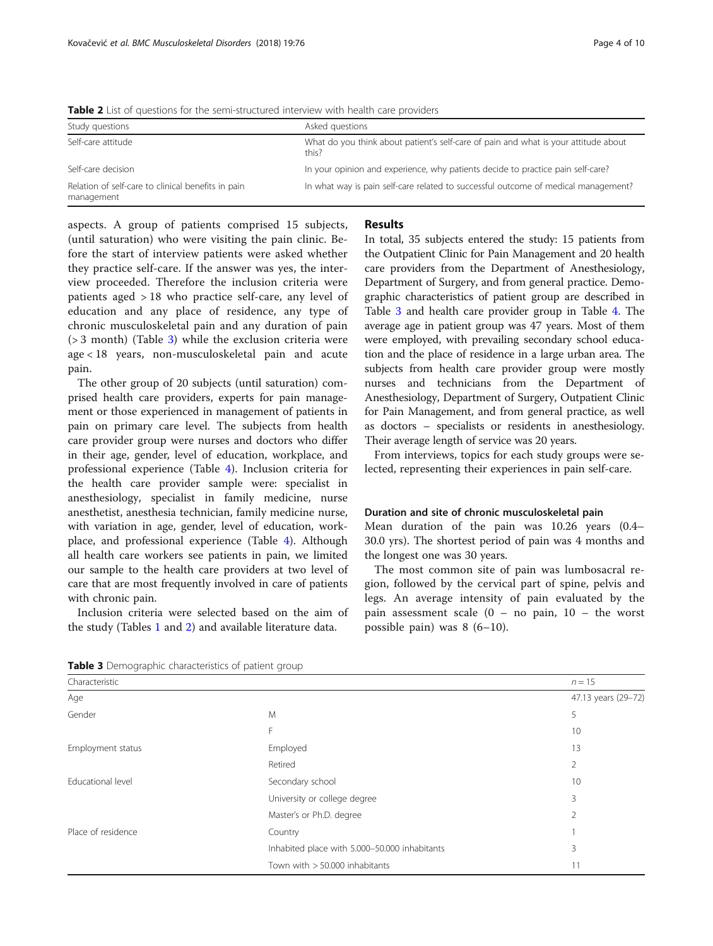| <b>TWAIS &amp;</b> EDI OF GUIDED TOP THE JETH JUBELOF HILL MEN WILL HEALT CATE DIVINED |                                                                                              |  |
|----------------------------------------------------------------------------------------|----------------------------------------------------------------------------------------------|--|
| Study questions                                                                        | Asked questions                                                                              |  |
| Self-care attitude                                                                     | What do you think about patient's self-care of pain and what is your attitude about<br>this? |  |
| Self-care decision                                                                     | In your opinion and experience, why patients decide to practice pain self-care?              |  |
| Relation of self-care to clinical benefits in pain<br>management                       | In what way is pain self-care related to successful outcome of medical management?           |  |

<span id="page-3-0"></span>**Table 2** List of questions for the semi-structured interview with health care providers

aspects. A group of patients comprised 15 subjects, (until saturation) who were visiting the pain clinic. Before the start of interview patients were asked whether they practice self-care. If the answer was yes, the interview proceeded. Therefore the inclusion criteria were patients aged > 18 who practice self-care, any level of education and any place of residence, any type of chronic musculoskeletal pain and any duration of pain (> 3 month) (Table 3) while the exclusion criteria were age < 18 years, non-musculoskeletal pain and acute pain.

The other group of 20 subjects (until saturation) comprised health care providers, experts for pain management or those experienced in management of patients in pain on primary care level. The subjects from health care provider group were nurses and doctors who differ in their age, gender, level of education, workplace, and professional experience (Table [4](#page-4-0)). Inclusion criteria for the health care provider sample were: specialist in anesthesiology, specialist in family medicine, nurse anesthetist, anesthesia technician, family medicine nurse, with variation in age, gender, level of education, workplace, and professional experience (Table [4\)](#page-4-0). Although all health care workers see patients in pain, we limited our sample to the health care providers at two level of care that are most frequently involved in care of patients with chronic pain.

Inclusion criteria were selected based on the aim of the study (Tables [1](#page-2-0) and 2) and available literature data.

#### Results

In total, 35 subjects entered the study: 15 patients from the Outpatient Clinic for Pain Management and 20 health care providers from the Department of Anesthesiology, Department of Surgery, and from general practice. Demographic characteristics of patient group are described in Table 3 and health care provider group in Table [4](#page-4-0). The average age in patient group was 47 years. Most of them were employed, with prevailing secondary school education and the place of residence in a large urban area. The subjects from health care provider group were mostly nurses and technicians from the Department of Anesthesiology, Department of Surgery, Outpatient Clinic for Pain Management, and from general practice, as well as doctors – specialists or residents in anesthesiology. Their average length of service was 20 years.

From interviews, topics for each study groups were selected, representing their experiences in pain self-care.

#### Duration and site of chronic musculoskeletal pain

Mean duration of the pain was 10.26 years (0.4– 30.0 yrs). The shortest period of pain was 4 months and the longest one was 30 years.

The most common site of pain was lumbosacral region, followed by the cervical part of spine, pelvis and legs. An average intensity of pain evaluated by the pain assessment scale (0 – no pain, 10 – the worst possible pain) was  $8(6-10)$ .

Table 3 Demographic characteristics of patient group

| Characteristic     |                                               | $n = 15$            |
|--------------------|-----------------------------------------------|---------------------|
| Age                |                                               | 47.13 years (29-72) |
| Gender             | M                                             | 5                   |
|                    | F                                             | 10                  |
| Employment status  | Employed                                      | 13                  |
|                    | Retired                                       | 2                   |
| Educational level  | Secondary school                              | 10                  |
|                    | University or college degree                  | 3                   |
|                    | Master's or Ph.D. degree                      | 2                   |
| Place of residence | Country                                       |                     |
|                    | Inhabited place with 5.000-50.000 inhabitants | 3                   |
|                    | Town with > 50.000 inhabitants                |                     |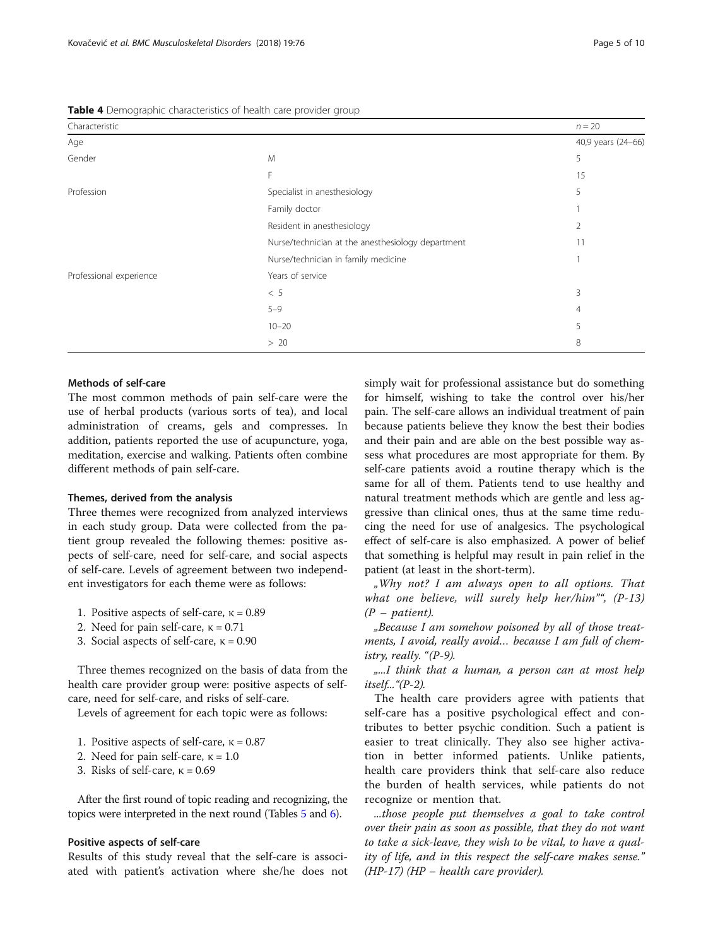| Characteristic          |                                                   | $n = 20$           |
|-------------------------|---------------------------------------------------|--------------------|
| Age                     |                                                   | 40,9 years (24-66) |
| Gender                  | M                                                 | 5                  |
|                         | F                                                 | 15                 |
| Profession              | Specialist in anesthesiology                      | 5                  |
|                         | Family doctor                                     |                    |
|                         | Resident in anesthesiology                        | 2                  |
|                         | Nurse/technician at the anesthesiology department |                    |
|                         | Nurse/technician in family medicine               |                    |
| Professional experience | Years of service                                  |                    |
|                         | < 5                                               | 3                  |
|                         | $5 - 9$                                           | $\overline{4}$     |
|                         | $10 - 20$                                         | 5                  |
|                         | > 20                                              | 8                  |

<span id="page-4-0"></span>Table 4 Demographic characteristics of health care provider group

#### Methods of self-care

The most common methods of pain self-care were the use of herbal products (various sorts of tea), and local administration of creams, gels and compresses. In addition, patients reported the use of acupuncture, yoga, meditation, exercise and walking. Patients often combine different methods of pain self-care.

#### Themes, derived from the analysis

Three themes were recognized from analyzed interviews in each study group. Data were collected from the patient group revealed the following themes: positive aspects of self-care, need for self-care, and social aspects of self-care. Levels of agreement between two independent investigators for each theme were as follows:

- 1. Positive aspects of self-care,  $\kappa = 0.89$
- 2. Need for pain self-care,  $κ = 0.71$
- 3. Social aspects of self-care,  $κ = 0.90$

Three themes recognized on the basis of data from the health care provider group were: positive aspects of selfcare, need for self-care, and risks of self-care.

Levels of agreement for each topic were as follows:

- 1. Positive aspects of self-care,  $\kappa = 0.87$
- 2. Need for pain self-care,  $κ = 1.0$
- 3. Risks of self-care,  $\kappa = 0.69$

After the first round of topic reading and recognizing, the topics were interpreted in the next round (Tables [5](#page-5-0) and [6](#page-5-0)).

#### Positive aspects of self-care

Results of this study reveal that the self-care is associated with patient's activation where she/he does not

simply wait for professional assistance but do something for himself, wishing to take the control over his/her pain. The self-care allows an individual treatment of pain because patients believe they know the best their bodies and their pain and are able on the best possible way assess what procedures are most appropriate for them. By self-care patients avoid a routine therapy which is the same for all of them. Patients tend to use healthy and natural treatment methods which are gentle and less aggressive than clinical ones, thus at the same time reducing the need for use of analgesics. The psychological effect of self-care is also emphasized. A power of belief that something is helpful may result in pain relief in the patient (at least in the short-term).

"Why not? I am always open to all options. That what one believe, will surely help her/him"", (P-13)  $(P - patient)$ .

"Because I am somehow poisoned by all of those treatments, I avoid, really avoid… because I am full of chemistry, really. "(P-9).

"...I think that a human, a person can at most help itself..."(P-2).

The health care providers agree with patients that self-care has a positive psychological effect and contributes to better psychic condition. Such a patient is easier to treat clinically. They also see higher activation in better informed patients. Unlike patients, health care providers think that self-care also reduce the burden of health services, while patients do not recognize or mention that.

...those people put themselves a goal to take control over their pain as soon as possible, that they do not want to take a sick-leave, they wish to be vital, to have a quality of life, and in this respect the self-care makes sense." (HP-17) (HP – health care provider).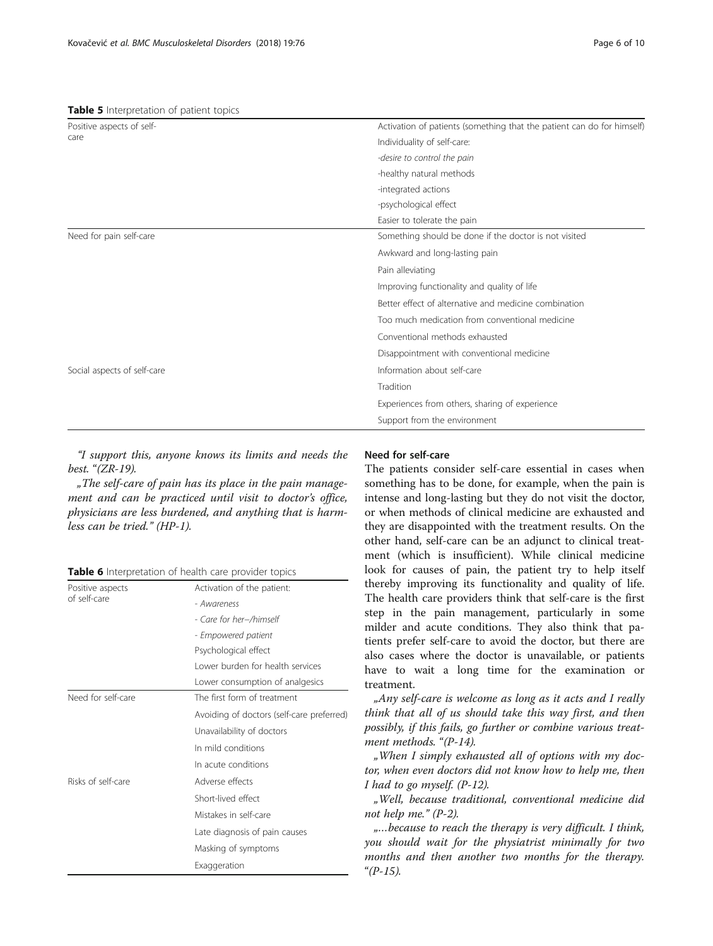<span id="page-5-0"></span>

| Positive aspects of self-   | Activation of patients (something that the patient can do for himself) |
|-----------------------------|------------------------------------------------------------------------|
| care                        | Individuality of self-care:                                            |
|                             | -desire to control the pain                                            |
|                             | -healthy natural methods                                               |
|                             | -integrated actions                                                    |
|                             | -psychological effect                                                  |
|                             | Easier to tolerate the pain                                            |
| Need for pain self-care     | Something should be done if the doctor is not visited                  |
|                             | Awkward and long-lasting pain                                          |
|                             | Pain alleviating                                                       |
|                             | Improving functionality and quality of life                            |
|                             | Better effect of alternative and medicine combination                  |
|                             | Too much medication from conventional medicine                         |
|                             | Conventional methods exhausted                                         |
|                             | Disappointment with conventional medicine                              |
| Social aspects of self-care | Information about self-care                                            |
|                             | Tradition                                                              |
|                             | Experiences from others, sharing of experience                         |
|                             | Support from the environment                                           |

"I support this, anyone knows its limits and needs the best. "(ZR-19).

"The self-care of pain has its place in the pain management and can be practiced until visit to doctor's office, physicians are less burdened, and anything that is harmless can be tried." (HP-1).

Table 6 Interpretation of health care provider topics

| Positive aspects<br>of self-care | Activation of the patient:                                                                                 |  |                                 |                                           |
|----------------------------------|------------------------------------------------------------------------------------------------------------|--|---------------------------------|-------------------------------------------|
|                                  | - Awareness                                                                                                |  |                                 |                                           |
|                                  | - Care for her-/himself<br>- Empowered patient<br>Psychological effect<br>Lower burden for health services |  |                                 |                                           |
|                                  |                                                                                                            |  | Lower consumption of analgesics |                                           |
|                                  |                                                                                                            |  | Need for self-care              | The first form of treatment               |
|                                  |                                                                                                            |  |                                 | Avoiding of doctors (self-care preferred) |
|                                  | Unavailability of doctors                                                                                  |  |                                 |                                           |
| In mild conditions               |                                                                                                            |  |                                 |                                           |
| In acute conditions              |                                                                                                            |  |                                 |                                           |
| Risks of self-care               | Adverse effects                                                                                            |  |                                 |                                           |
|                                  | Short-lived effect                                                                                         |  |                                 |                                           |
|                                  | Mistakes in self-care                                                                                      |  |                                 |                                           |
|                                  | Late diagnosis of pain causes                                                                              |  |                                 |                                           |
|                                  | Masking of symptoms                                                                                        |  |                                 |                                           |
|                                  | Exaggeration                                                                                               |  |                                 |                                           |

#### Need for self-care

The patients consider self-care essential in cases when something has to be done, for example, when the pain is intense and long-lasting but they do not visit the doctor, or when methods of clinical medicine are exhausted and they are disappointed with the treatment results. On the other hand, self-care can be an adjunct to clinical treatment (which is insufficient). While clinical medicine look for causes of pain, the patient try to help itself thereby improving its functionality and quality of life. The health care providers think that self-care is the first step in the pain management, particularly in some milder and acute conditions. They also think that patients prefer self-care to avoid the doctor, but there are also cases where the doctor is unavailable, or patients have to wait a long time for the examination or treatment.

"Any self-care is welcome as long as it acts and I really think that all of us should take this way first, and then possibly, if this fails, go further or combine various treatment methods. "(P-14).

"When I simply exhausted all of options with my doctor, when even doctors did not know how to help me, then I had to go myself. (P-12).

"Well, because traditional, conventional medicine did not help me."  $(P-2)$ .

"…because to reach the therapy is very difficult. I think, you should wait for the physiatrist minimally for two months and then another two months for the therapy.  $\degree$ (P-15).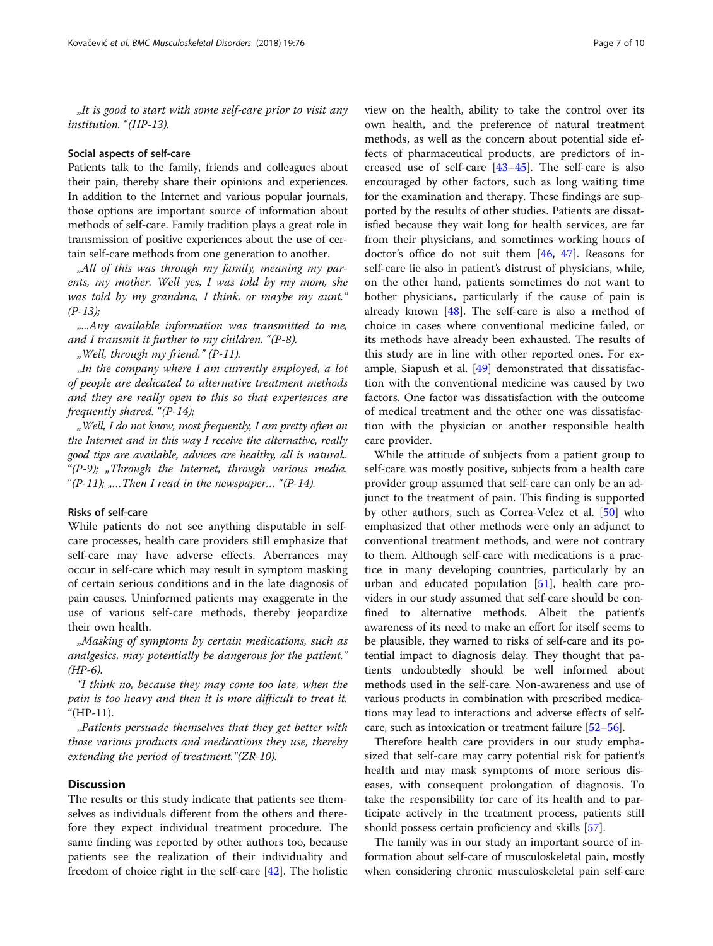"It is good to start with some self-care prior to visit any institution. "(HP-13).

#### Social aspects of self-care

Patients talk to the family, friends and colleagues about their pain, thereby share their opinions and experiences. In addition to the Internet and various popular journals, those options are important source of information about methods of self-care. Family tradition plays a great role in transmission of positive experiences about the use of certain self-care methods from one generation to another.

"All of this was through my family, meaning my parents, my mother. Well yes, I was told by my mom, she was told by my grandma, I think, or maybe my aunt."  $(P-13);$ 

"...Any available information was transmitted to me, and I transmit it further to my children. " $(P-8)$ .

"Well, through my friend." (P-11).

 $n$ -In the company where I am currently employed, a lot of people are dedicated to alternative treatment methods and they are really open to this so that experiences are frequently shared. "(P-14);

"Well, I do not know, most frequently, I am pretty often on the Internet and in this way I receive the alternative, really good tips are available, advices are healthy, all is natural.. "(P-9); "Through the Internet, through various media. "(P-11);  $, \ldots$  Then I read in the newspaper... "(P-14).

#### Risks of self-care

While patients do not see anything disputable in selfcare processes, health care providers still emphasize that self-care may have adverse effects. Aberrances may occur in self-care which may result in symptom masking of certain serious conditions and in the late diagnosis of pain causes. Uninformed patients may exaggerate in the use of various self-care methods, thereby jeopardize their own health.

"Masking of symptoms by certain medications, such as analgesics, may potentially be dangerous for the patient." (HP-6).

"I think no, because they may come too late, when the pain is too heavy and then it is more difficult to treat it. " $(HP-11)$ .

"Patients persuade themselves that they get better with those various products and medications they use, thereby extending the period of treatment."(ZR-10).

#### **Discussion**

The results or this study indicate that patients see themselves as individuals different from the others and therefore they expect individual treatment procedure. The same finding was reported by other authors too, because patients see the realization of their individuality and freedom of choice right in the self-care [[42](#page-8-0)]. The holistic view on the health, ability to take the control over its own health, and the preference of natural treatment methods, as well as the concern about potential side effects of pharmaceutical products, are predictors of increased use of self-care [[43](#page-8-0)–[45](#page-8-0)]. The self-care is also encouraged by other factors, such as long waiting time for the examination and therapy. These findings are supported by the results of other studies. Patients are dissatisfied because they wait long for health services, are far from their physicians, and sometimes working hours of doctor's office do not suit them [[46,](#page-8-0) [47\]](#page-9-0). Reasons for self-care lie also in patient's distrust of physicians, while, on the other hand, patients sometimes do not want to bother physicians, particularly if the cause of pain is already known [\[48\]](#page-9-0). The self-care is also a method of choice in cases where conventional medicine failed, or its methods have already been exhausted. The results of this study are in line with other reported ones. For example, Siapush et al. [[49\]](#page-9-0) demonstrated that dissatisfaction with the conventional medicine was caused by two factors. One factor was dissatisfaction with the outcome of medical treatment and the other one was dissatisfaction with the physician or another responsible health care provider.

While the attitude of subjects from a patient group to self-care was mostly positive, subjects from a health care provider group assumed that self-care can only be an adjunct to the treatment of pain. This finding is supported by other authors, such as Correa-Velez et al. [[50\]](#page-9-0) who emphasized that other methods were only an adjunct to conventional treatment methods, and were not contrary to them. Although self-care with medications is a practice in many developing countries, particularly by an urban and educated population  $[51]$  $[51]$ , health care providers in our study assumed that self-care should be confined to alternative methods. Albeit the patient's awareness of its need to make an effort for itself seems to be plausible, they warned to risks of self-care and its potential impact to diagnosis delay. They thought that patients undoubtedly should be well informed about methods used in the self-care. Non-awareness and use of various products in combination with prescribed medications may lead to interactions and adverse effects of selfcare, such as intoxication or treatment failure [\[52](#page-9-0)–[56](#page-9-0)].

Therefore health care providers in our study emphasized that self-care may carry potential risk for patient's health and may mask symptoms of more serious diseases, with consequent prolongation of diagnosis. To take the responsibility for care of its health and to participate actively in the treatment process, patients still should possess certain proficiency and skills [[57\]](#page-9-0).

The family was in our study an important source of information about self-care of musculoskeletal pain, mostly when considering chronic musculoskeletal pain self-care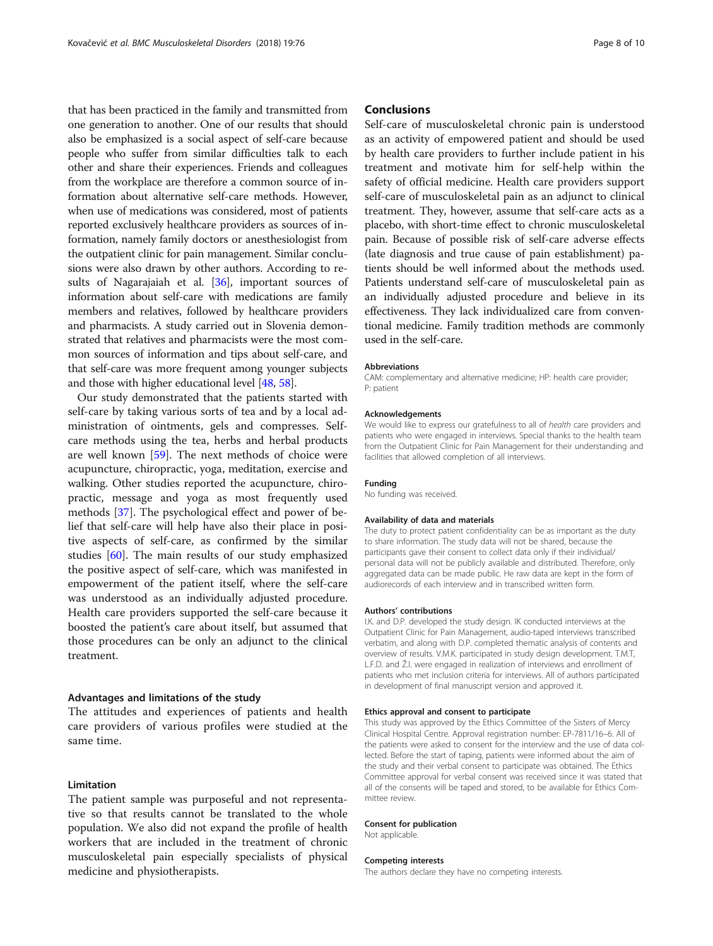that has been practiced in the family and transmitted from one generation to another. One of our results that should also be emphasized is a social aspect of self-care because people who suffer from similar difficulties talk to each other and share their experiences. Friends and colleagues from the workplace are therefore a common source of information about alternative self-care methods. However, when use of medications was considered, most of patients reported exclusively healthcare providers as sources of information, namely family doctors or anesthesiologist from the outpatient clinic for pain management. Similar conclusions were also drawn by other authors. According to results of Nagarajaiah et al. [[36](#page-8-0)], important sources of information about self-care with medications are family members and relatives, followed by healthcare providers and pharmacists. A study carried out in Slovenia demonstrated that relatives and pharmacists were the most common sources of information and tips about self-care, and that self-care was more frequent among younger subjects and those with higher educational level [[48](#page-9-0), [58\]](#page-9-0).

Our study demonstrated that the patients started with self-care by taking various sorts of tea and by a local administration of ointments, gels and compresses. Selfcare methods using the tea, herbs and herbal products are well known [[59](#page-9-0)]. The next methods of choice were acupuncture, chiropractic, yoga, meditation, exercise and walking. Other studies reported the acupuncture, chiropractic, message and yoga as most frequently used methods [\[37](#page-8-0)]. The psychological effect and power of belief that self-care will help have also their place in positive aspects of self-care, as confirmed by the similar studies [\[60\]](#page-9-0). The main results of our study emphasized the positive aspect of self-care, which was manifested in empowerment of the patient itself, where the self-care was understood as an individually adjusted procedure. Health care providers supported the self-care because it boosted the patient's care about itself, but assumed that those procedures can be only an adjunct to the clinical treatment.

#### Advantages and limitations of the study

The attitudes and experiences of patients and health care providers of various profiles were studied at the same time.

#### Limitation

The patient sample was purposeful and not representative so that results cannot be translated to the whole population. We also did not expand the profile of health workers that are included in the treatment of chronic musculoskeletal pain especially specialists of physical medicine and physiotherapists.

#### **Conclusions**

Self-care of musculoskeletal chronic pain is understood as an activity of empowered patient and should be used by health care providers to further include patient in his treatment and motivate him for self-help within the safety of official medicine. Health care providers support self-care of musculoskeletal pain as an adjunct to clinical treatment. They, however, assume that self-care acts as a placebo, with short-time effect to chronic musculoskeletal pain. Because of possible risk of self-care adverse effects (late diagnosis and true cause of pain establishment) patients should be well informed about the methods used. Patients understand self-care of musculoskeletal pain as an individually adjusted procedure and believe in its effectiveness. They lack individualized care from conventional medicine. Family tradition methods are commonly used in the self-care.

#### Abbreviations

CAM: complementary and alternative medicine; HP: health care provider; P: patient

#### Acknowledgements

We would like to express our gratefulness to all of health care providers and patients who were engaged in interviews. Special thanks to the health team from the Outpatient Clinic for Pain Management for their understanding and facilities that allowed completion of all interviews.

#### Funding

No funding was received.

#### Availability of data and materials

The duty to protect patient confidentiality can be as important as the duty to share information. The study data will not be shared, because the participants gave their consent to collect data only if their individual/ personal data will not be publicly available and distributed. Therefore, only aggregated data can be made public. He raw data are kept in the form of audiorecords of each interview and in transcribed written form.

#### Authors' contributions

I.K. and D.P. developed the study design. IK conducted interviews at the Outpatient Clinic for Pain Management, audio-taped interviews transcribed verbatim, and along with D.P. completed thematic analysis of contents and overview of results. V.M.K. participated in study design development. T.M.T, L.F.D. and Ž.I. were engaged in realization of interviews and enrollment of patients who met inclusion criteria for interviews. All of authors participated in development of final manuscript version and approved it.

#### Ethics approval and consent to participate

This study was approved by the Ethics Committee of the Sisters of Mercy Clinical Hospital Centre. Approval registration number: EP-7811/16–6. All of the patients were asked to consent for the interview and the use of data collected. Before the start of taping, patients were informed about the aim of the study and their verbal consent to participate was obtained. The Ethics Committee approval for verbal consent was received since it was stated that all of the consents will be taped and stored, to be available for Ethics Committee review.

#### Consent for publication

Not applicable.

#### Competing interests

The authors declare they have no competing interests.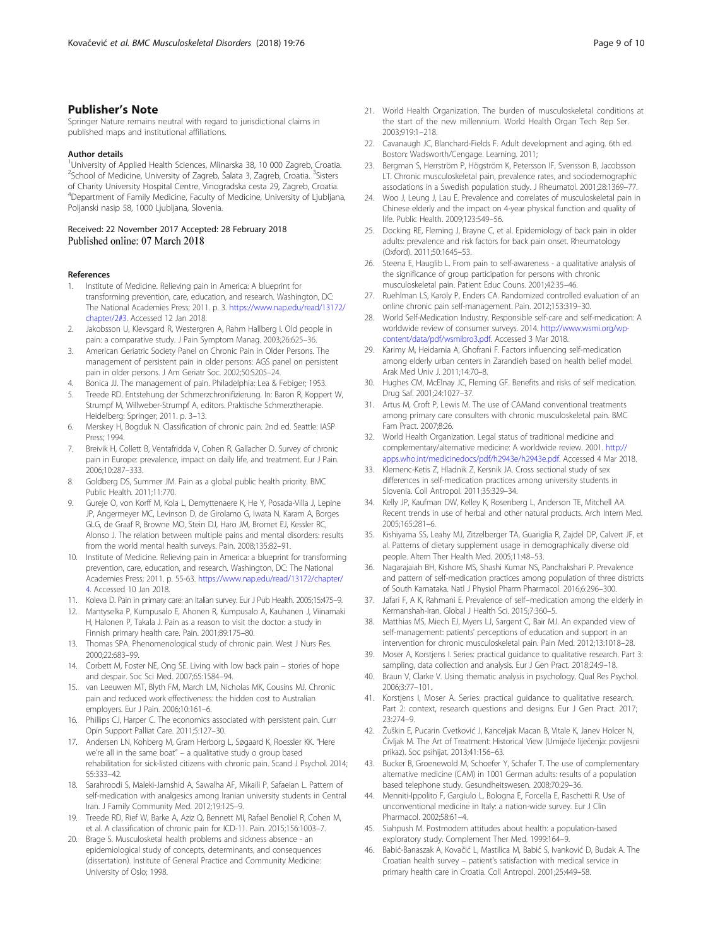#### <span id="page-8-0"></span>Publisher's Note

Springer Nature remains neutral with regard to jurisdictional claims in published maps and institutional affiliations.

#### Author details

<sup>1</sup>University of Applied Health Sciences, Mlinarska 38, 10 000 Zagreb, Croatia. <sup>2</sup>School of Medicine, University of Zagreb, Šalata 3, Zagreb, Croatia. <sup>3</sup>Sisters of Charity University Hospital Centre, Vinogradska cesta 29, Zagreb, Croatia. 4 Department of Family Medicine, Faculty of Medicine, University of Ljubljana, Poljanski nasip 58, 1000 Ljubljana, Slovenia.

# Received: 22 November 2017 Accepted: 28 February 2018<br>Published online: 07 March 2018

#### References

- 1. Institute of Medicine. Relieving pain in America: A blueprint for transforming prevention, care, education, and research. Washington, DC: The National Academies Press; 2011. p. 3. [https://www.nap.edu/read/13172/](https://www.nap.edu/read/13172/chapter/2#3) [chapter/2#3.](https://www.nap.edu/read/13172/chapter/2#3) Accessed 12 Jan 2018.
- 2. Jakobsson U, Klevsgard R, Westergren A, Rahm Hallberg I. Old people in pain: a comparative study. J Pain Symptom Manag. 2003;26:625–36.
- 3. American Geriatric Society Panel on Chronic Pain in Older Persons. The management of persistent pain in older persons: AGS panel on persistent pain in older persons. J Am Geriatr Soc. 2002;50:S205–24.
- Bonica JJ. The management of pain. Philadelphia: Lea & Febiger; 1953.
- 5. Treede RD. Entstehung der Schmerzchronifizierung. In: Baron R, Koppert W, Strumpf M, Willweber-Strumpf A, editors. Praktische Schmerztherapie. Heidelberg: Springer; 2011. p. 3–13.
- 6. Merskey H, Bogduk N. Classification of chronic pain. 2nd ed. Seattle: IASP Press; 1994.
- 7. Breivik H, Collett B, Ventafridda V, Cohen R, Gallacher D. Survey of chronic pain in Europe: prevalence, impact on daily life, and treatment. Eur J Pain. 2006;10:287–333.
- 8. Goldberg DS, Summer JM. Pain as a global public health priority. BMC Public Health. 2011;11:770.
- 9. Gureje O, von Korff M, Kola L, Demyttenaere K, He Y, Posada-Villa J, Lepine JP, Angermeyer MC, Levinson D, de Girolamo G, Iwata N, Karam A, Borges GLG, de Graaf R, Browne MO, Stein DJ, Haro JM, Bromet EJ, Kessler RC, Alonso J. The relation between multiple pains and mental disorders: results from the world mental health surveys. Pain. 2008;135:82–91.
- 10. Institute of Medicine. Relieving pain in America: a blueprint for transforming prevention, care, education, and research. Washington, DC: The National Academies Press; 2011. p. 55-63. [https://www.nap.edu/read/13172/chapter/](https://www.nap.edu/read/13172/chapter/4) [4](https://www.nap.edu/read/13172/chapter/4). Accessed 10 Jan 2018.
- 11. Koleva D. Pain in primary care: an Italian survey. Eur J Pub Health. 2005;15:475–9.
- 12. Mantyselka P, Kumpusalo E, Ahonen R, Kumpusalo A, Kauhanen J, Viinamaki H, Halonen P, Takala J. Pain as a reason to visit the doctor: a study in Finnish primary health care. Pain. 2001;89:175–80.
- 13. Thomas SPA. Phenomenological study of chronic pain. West J Nurs Res. 2000;22:683–99.
- 14. Corbett M, Foster NE, Ong SE. Living with low back pain stories of hope and despair. Soc Sci Med. 2007;65:1584–94.
- 15. van Leeuwen MT, Blyth FM, March LM, Nicholas MK, Cousins MJ. Chronic pain and reduced work effectiveness: the hidden cost to Australian employers. Eur J Pain. 2006;10:161–6.
- 16. Phillips CJ, Harper C. The economics associated with persistent pain. Curr Opin Support Palliat Care. 2011;5:127–30.
- 17. Andersen LN, Kohberg M, Gram Herborg L, Søgaard K, Roessler KK. "Here we're all in the same boat" – a qualitative study o group based rehabilitation for sick-listed citizens with chronic pain. Scand J Psychol. 2014; 55:333–42.
- 18. Sarahroodi S, Maleki-Jamshid A, Sawalha AF, Mikaili P, Safaeian L. Pattern of self-medication with analgesics among Iranian university students in Central Iran. J Family Community Med. 2012;19:125–9.
- 19. Treede RD, Rief W, Barke A, Aziz Q, Bennett MI, Rafael Benoliel R, Cohen M, et al. A classification of chronic pain for ICD-11. Pain. 2015;156:1003–7.
- 20. Brage S. Musculosketal health problems and sickness absence an epidemiological study of concepts, determinants, and consequences (dissertation). Institute of General Practice and Community Medicine: University of Oslo; 1998.
- 21. World Health Organization. The burden of musculoskeletal conditions at the start of the new millennium. World Health Organ Tech Rep Ser. 2003;919:1–218.
- 22. Cavanaugh JC, Blanchard-Fields F. Adult development and aging. 6th ed. Boston: Wadsworth/Cengage. Learning. 2011;
- 23. Bergman S, Herrström P, Högström K, Petersson IF, Svensson B, Jacobsson LT. Chronic musculoskeletal pain, prevalence rates, and sociodemographic associations in a Swedish population study. J Rheumatol. 2001;28:1369–77.
- 24. Woo J, Leung J, Lau E. Prevalence and correlates of musculoskeletal pain in Chinese elderly and the impact on 4-year physical function and quality of life. Public Health. 2009;123:549–56.
- 25. Docking RE, Fleming J, Brayne C, et al. Epidemiology of back pain in older adults: prevalence and risk factors for back pain onset. Rheumatology (Oxford). 2011;50:1645–53.
- 26. Steena E, Hauglib L. From pain to self-awareness a qualitative analysis of the significance of group participation for persons with chronic musculoskeletal pain. Patient Educ Couns. 2001;42:35–46.
- 27. Ruehlman LS, Karoly P, Enders CA. Randomized controlled evaluation of an online chronic pain self-management. Pain. 2012;153:319–30.
- 28. World Self-Medication Industry. Responsible self-care and self-medication: A worldwide review of consumer surveys. 2014. [http://www.wsmi.org/wp](http://www.wsmi.org/wp-content/data/pdf/wsmibro3.pdf)[content/data/pdf/wsmibro3.pdf](http://www.wsmi.org/wp-content/data/pdf/wsmibro3.pdf). Accessed 3 Mar 2018.
- 29. Karimy M, Heidarnia A, Ghofrani F. Factors influencing self-medication among elderly urban centers in Zarandieh based on health belief model. Arak Med Univ J. 2011;14:70–8.
- 30. Hughes CM, McElnay JC, Fleming GF. Benefits and risks of self medication. Drug Saf. 2001;24:1027–37.
- 31. Artus M, Croft P, Lewis M. The use of CAMand conventional treatments among primary care consulters with chronic musculoskeletal pain. BMC Fam Pract. 2007;8:26.
- 32. World Health Organization. Legal status of traditional medicine and complementary/alternative medicine: A worldwide review. 2001. [http://](http://apps.who.int/medicinedocs/pdf/h2943e/h2943e.pdf) [apps.who.int/medicinedocs/pdf/h2943e/h2943e.pdf](http://apps.who.int/medicinedocs/pdf/h2943e/h2943e.pdf). Accessed 4 Mar 2018.
- 33. Klemenc-Ketis Z, Hladnik Z, Kersnik JA. Cross sectional study of sex differences in self-medication practices among university students in Slovenia. Coll Antropol. 2011;35:329–34.
- 34. Kelly JP, Kaufman DW, Kelley K, Rosenberg L, Anderson TE, Mitchell AA. Recent trends in use of herbal and other natural products. Arch Intern Med. 2005;165:281–6.
- 35. Kishiyama SS, Leahy MJ, Zitzelberger TA, Guariglia R, Zajdel DP, Calvert JF, et al. Patterns of dietary supplement usage in demographically diverse old people. Altern Ther Health Med. 2005;11:48–53.
- 36. Nagarajaiah BH, Kishore MS, Shashi Kumar NS, Panchakshari P. Prevalence and pattern of self-medication practices among population of three districts of South Karnataka. Natl J Physiol Pharm Pharmacol. 2016;6:296–300.
- 37. Jafari F, A K, Rahmani E. Prevalence of self–medication among the elderly in Kermanshah-Iran. Global J Health Sci. 2015;7:360–5.
- 38. Matthias MS, Miech EJ, Myers LJ, Sargent C, Bair MJ. An expanded view of self-management: patients' perceptions of education and support in an intervention for chronic musculoskeletal pain. Pain Med. 2012;13:1018–28.
- 39. Moser A, Korstjens I. Series: practical guidance to qualitative research. Part 3: sampling, data collection and analysis. Eur J Gen Pract. 2018;24:9–18.
- 40. Braun V, Clarke V. Using thematic analysis in psychology. Qual Res Psychol. 2006;3:77–101.
- 41. Korstjens I, Moser A. Series: practical guidance to qualitative research. Part 2: context, research questions and designs. Eur J Gen Pract. 2017; 23:274–9.
- 42. Žuškin E, Pucarin Cvetković J, Kanceljak Macan B, Vitale K, Janev Holcer N, Čivljak M. The Art of Treatment: Historical View (Umijeće liječenja: povijesni prikaz). Soc psihijat. 2013;41:156–63.
- 43. Bucker B, Groenewold M, Schoefer Y, Schafer T. The use of complementary alternative medicine (CAM) in 1001 German adults: results of a population based telephone study. Gesundheitswesen. 2008;70:29–36.
- 44. Menniti-Ippolito F, Gargiulo L, Bologna E, Forcella E, Raschetti R. Use of unconventional medicine in Italy: a nation-wide survey. Eur J Clin Pharmacol. 2002;58:61–4.
- 45. Siahpush M. Postmodern attitudes about health: a population-based exploratory study. Complement Ther Med. 1999:164–9.
- 46. Babić-Banaszak A, Kovačić L, Mastilica M, Babić S, Ivanković D, Budak A. The Croatian health survey – patient's satisfaction with medical service in primary health care in Croatia. Coll Antropol. 2001;25:449–58.